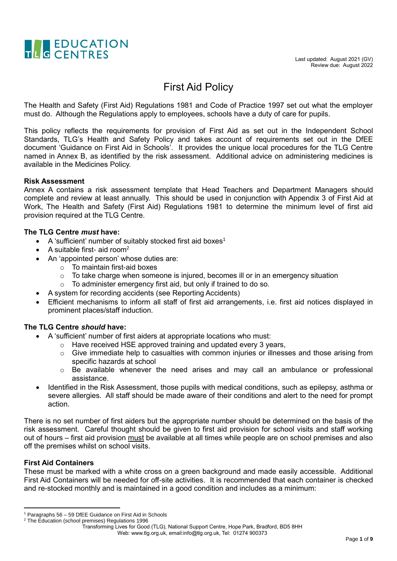

### First Aid Policy

The Health and Safety (First Aid) Regulations 1981 and Code of Practice 1997 set out what the employer must do. Although the Regulations apply to employees, schools have a duty of care for pupils.

This policy reflects the requirements for provision of First Aid as set out in the Independent School Standards, TLG's Health and Safety Policy and takes account of requirements set out in the DfEE document 'Guidance on First Aid in Schools'. It provides the unique local procedures for the TLG Centre named in Annex B, as identified by the risk assessment. Additional advice on administering medicines is available in the Medicines Policy.

#### **Risk Assessment**

Annex A contains a risk assessment template that Head Teachers and Department Managers should complete and review at least annually. This should be used in conjunction with Appendix 3 of First Aid at Work, The Health and Safety (First Aid) Regulations 1981 to determine the minimum level of first aid provision required at the TLG Centre.

#### **The TLG Centre** *must* **have:**

- A 'sufficient' number of suitably stocked first aid boxes<sup>1</sup>
- A suitable first- aid room<sup>2</sup>
- An 'appointed person' whose duties are:
	- $\circ$  To maintain first-aid boxes
	- $\circ$  To take charge when someone is injured, becomes ill or in an emergency situation
	- $\circ$  To administer emergency first aid, but only if trained to do so.
- A system for recording accidents (see Reporting Accidents)
- Efficient mechanisms to inform all staff of first aid arrangements, i.e. first aid notices displayed in prominent places/staff induction.

#### **The TLG Centre** *should* **have:**

- A 'sufficient' number of first aiders at appropriate locations who must:
	- o Have received HSE approved training and updated every 3 years,
		- o Give immediate help to casualties with common injuries or illnesses and those arising from specific hazards at school
		- o Be available whenever the need arises and may call an ambulance or professional assistance.
- Identified in the Risk Assessment, those pupils with medical conditions, such as epilepsy, asthma or severe allergies. All staff should be made aware of their conditions and alert to the need for prompt action.

There is no set number of first aiders but the appropriate number should be determined on the basis of the risk assessment. Careful thought should be given to first aid provision for school visits and staff working out of hours – first aid provision must be available at all times while people are on school premises and also off the premises whilst on school visits.

#### **First Aid Containers**

1

These must be marked with a white cross on a green background and made easily accessible. Additional First Aid Containers will be needed for off-site activities. It is recommended that each container is checked and re-stocked monthly and is maintained in a good condition and includes as a minimum:

Transforming Lives for Good (TLG), National Support Centre, Hope Park, Bradford, BD5 8HH

<sup>1</sup> Paragraphs 56 – 59 DfEE Guidance on First Aid in Schools

<sup>&</sup>lt;sup>2</sup> The Education (school premises) Regulations 1996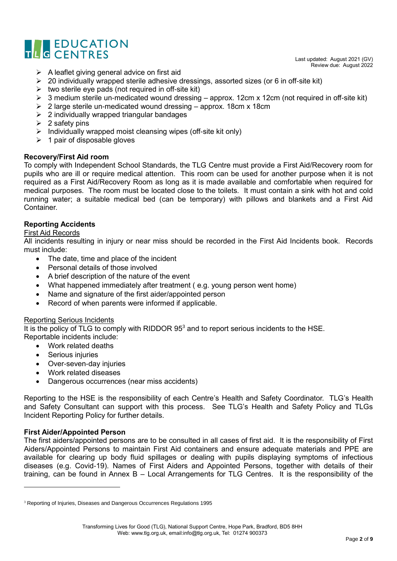

Last updated: August 2021 (GV) Review due: August 2022

- $\triangleright$  A leaflet giving general advice on first aid
- ➢ 20 individually wrapped sterile adhesive dressings, assorted sizes (or 6 in off-site kit)
- $\triangleright$  two sterile eye pads (not required in off-site kit)
- $\geq 3$  medium sterile un-medicated wound dressing approx. 12cm x 12cm (not required in off-site kit)
- $\geq$  2 large sterile un-medicated wound dressing approx. 18cm x 18cm
- $\geq$  2 individually wrapped triangular bandages
- $\geq 2$  safety pins
- ➢ Individually wrapped moist cleansing wipes (off-site kit only)
- $\geq 1$  pair of disposable gloves

#### **Recovery/First Aid room**

To comply with Independent School Standards, the TLG Centre must provide a First Aid/Recovery room for pupils who are ill or require medical attention. This room can be used for another purpose when it is not required as a First Aid/Recovery Room as long as it is made available and comfortable when required for medical purposes. The room must be located close to the toilets. It must contain a sink with hot and cold running water; a suitable medical bed (can be temporary) with pillows and blankets and a First Aid Container.

#### **Reporting Accidents**

#### First Aid Records

All incidents resulting in injury or near miss should be recorded in the First Aid Incidents book. Records must include:

- The date, time and place of the incident
- Personal details of those involved
- A brief description of the nature of the event
- What happened immediately after treatment ( e.g. young person went home)
- Name and signature of the first aider/appointed person
- Record of when parents were informed if applicable.

#### Reporting Serious Incidents

It is the policy of TLG to comply with RIDDOR 95<sup>3</sup> and to report serious incidents to the HSE. Reportable incidents include:

- Work related deaths
- Serious injuries
- Over-seven-day injuries
- Work related diseases
- Dangerous occurrences (near miss accidents)

Reporting to the HSE is the responsibility of each Centre's Health and Safety Coordinator. TLG's Health and Safety Consultant can support with this process. See TLG's Health and Safety Policy and TLGs Incident Reporting Policy for further details.

#### **First Aider/Appointed Person**

**.** 

The first aiders/appointed persons are to be consulted in all cases of first aid. It is the responsibility of First Aiders/Appointed Persons to maintain First Aid containers and ensure adequate materials and PPE are available for clearing up body fluid spillages or dealing with pupils displaying symptoms of infectious diseases (e.g. Covid-19). Names of First Aiders and Appointed Persons, together with details of their training, can be found in Annex B – Local Arrangements for TLG Centres. It is the responsibility of the

<sup>&</sup>lt;sup>3</sup> Reporting of Injuries, Diseases and Dangerous Occurrences Regulations 1995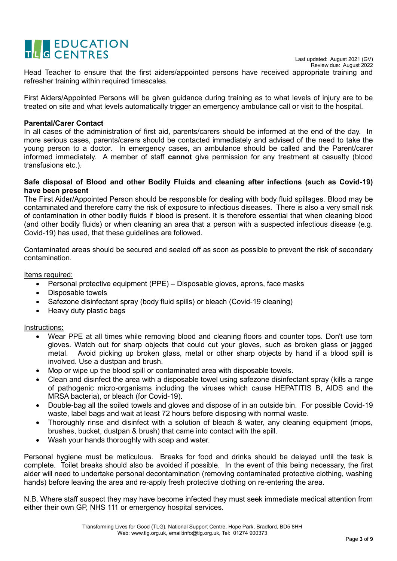# THE EDUCATION

Last updated: August 2021 (GV) Review due: August 2022

Head Teacher to ensure that the first aiders/appointed persons have received appropriate training and refresher training within required timescales.

First Aiders/Appointed Persons will be given guidance during training as to what levels of injury are to be treated on site and what levels automatically trigger an emergency ambulance call or visit to the hospital.

#### **Parental/Carer Contact**

In all cases of the administration of first aid, parents/carers should be informed at the end of the day. In more serious cases, parents/carers should be contacted immediately and advised of the need to take the young person to a doctor. In emergency cases, an ambulance should be called and the Parent/carer informed immediately. A member of staff **cannot** give permission for any treatment at casualty (blood transfusions etc.).

#### **Safe disposal of Blood and other Bodily Fluids and cleaning after infections (such as Covid-19) have been present**

The First Aider/Appointed Person should be responsible for dealing with body fluid spillages. Blood may be contaminated and therefore carry the risk of exposure to infectious diseases. There is also a very small risk of contamination in other bodily fluids if blood is present. It is therefore essential that when cleaning blood (and other bodily fluids) or when cleaning an area that a person with a suspected infectious disease (e.g. Covid-19) has used, that these guidelines are followed.

Contaminated areas should be secured and sealed off as soon as possible to prevent the risk of secondary contamination.

#### Items required:

- Personal protective equipment (PPE) Disposable gloves, aprons, face masks
- Disposable towels
- Safezone disinfectant spray (body fluid spills) or bleach (Covid-19 cleaning)
- Heavy duty plastic bags

#### Instructions:

- Wear PPE at all times while removing blood and cleaning floors and counter tops. Don't use torn gloves. Watch out for sharp objects that could cut your gloves, such as broken glass or jagged metal. Avoid picking up broken glass, metal or other sharp objects by hand if a blood spill is involved. Use a dustpan and brush.
- Mop or wipe up the blood spill or contaminated area with disposable towels.
- Clean and disinfect the area with a disposable towel using safezone disinfectant spray (kills a range of pathogenic micro-organisms including the viruses which cause HEPATITIS B, AIDS and the MRSA bacteria), or bleach (for Covid-19).
- Double-bag all the soiled towels and gloves and dispose of in an outside bin. For possible Covid-19 waste, label bags and wait at least 72 hours before disposing with normal waste.
- Thoroughly rinse and disinfect with a solution of bleach & water, any cleaning equipment (mops, brushes, bucket, dustpan & brush) that came into contact with the spill.
- Wash your hands thoroughly with soap and water.

Personal hygiene must be meticulous. Breaks for food and drinks should be delayed until the task is complete. Toilet breaks should also be avoided if possible. In the event of this being necessary, the first aider will need to undertake personal decontamination (removing contaminated protective clothing, washing hands) before leaving the area and re-apply fresh protective clothing on re-entering the area.

N.B. Where staff suspect they may have become infected they must seek immediate medical attention from either their own GP, NHS 111 or emergency hospital services.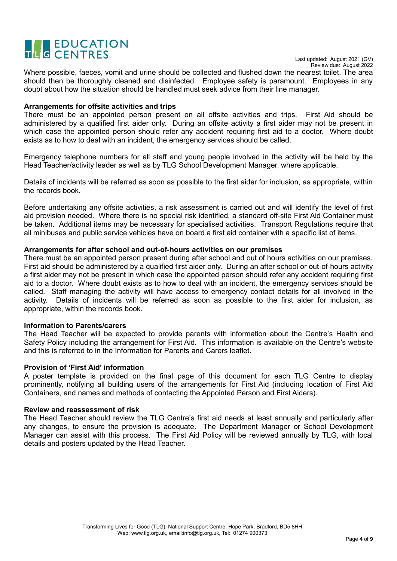## TLO EDUCATION

Where possible, faeces, vomit and urine should be collected and flushed down the nearest toilet. The area should then be thoroughly cleaned and disinfected. Employee safety is paramount. Employees in any doubt about how the situation should be handled must seek advice from their line manager.

#### **Arrangements for offsite activities and trips**

There must be an appointed person present on all offsite activities and trips. First Aid should be administered by a qualified first aider only. During an offsite activity a first aider may not be present in which case the appointed person should refer any accident requiring first aid to a doctor. Where doubt exists as to how to deal with an incident, the emergency services should be called.

Emergency telephone numbers for all staff and young people involved in the activity will be held by the Head Teacher/activity leader as well as by TLG School Development Manager, where applicable.

Details of incidents will be referred as soon as possible to the first aider for inclusion, as appropriate, within the records book.

Before undertaking any offsite activities, a risk assessment is carried out and will identify the level of first aid provision needed. Where there is no special risk identified, a standard off-site First Aid Container must be taken. Additional items may be necessary for specialised activities. Transport Regulations require that all minibuses and public service vehicles have on board a first aid container with a specific list of items.

#### **Arrangements for after school and out-of-hours activities on our premises**

There must be an appointed person present during after school and out of hours activities on our premises. First aid should be administered by a qualified first aider only. During an after school or out-of-hours activity a first aider may not be present in which case the appointed person should refer any accident requiring first aid to a doctor. Where doubt exists as to how to deal with an incident, the emergency services should be called. Staff managing the activity will have access to emergency contact details for all involved in the activity. Details of incidents will be referred as soon as possible to the first aider for inclusion, as appropriate, within the records book.

#### **Information to Parents/carers**

The Head Teacher will be expected to provide parents with information about the Centre's Health and Safety Policy including the arrangement for First Aid. This information is available on the Centre's website and this is referred to in the Information for Parents and Carers leaflet.

#### **Provision of 'First Aid' information**

A poster template is provided on the final page of this document for each TLG Centre to display prominently, notifying all building users of the arrangements for First Aid (including location of First Aid Containers, and names and methods of contacting the Appointed Person and First Aiders).

#### **Review and reassessment of risk**

The Head Teacher should review the TLG Centre's first aid needs at least annually and particularly after any changes, to ensure the provision is adequate. The Department Manager or School Development Manager can assist with this process. The First Aid Policy will be reviewed annually by TLG, with local details and posters updated by the Head Teacher.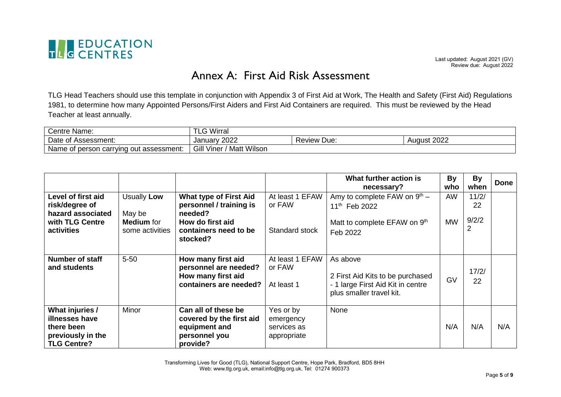

Last updated: August 2021 (GV) Review due: August 2022

## Annex A: First Aid Risk Assessment

TLG Head Teachers should use this template in conjunction with Appendix 3 of First Aid at Work, The Health and Safety (First Aid) Regulations 1981, to determine how many Appointed Persons/First Aiders and First Aid Containers are required. This must be reviewed by the Head Teacher at least annually.

| ⌒<br>Centre Name:                            | Wirral                       |                |             |
|----------------------------------------------|------------------------------|----------------|-------------|
| Date of Assessment:                          | nnnn<br>Januarv<br>ZUZZ      | Review<br>Due: | August 2022 |
| Name of<br>t person carrying out assessment: | Matt Wilson<br>Gill<br>Viner |                |             |

|                                                                                            |                                                |                                                                                               |                                                      | What further action is<br>necessary?                                                                          | <b>By</b><br>who | <b>By</b><br>when | <b>Done</b> |
|--------------------------------------------------------------------------------------------|------------------------------------------------|-----------------------------------------------------------------------------------------------|------------------------------------------------------|---------------------------------------------------------------------------------------------------------------|------------------|-------------------|-------------|
| Level of first aid                                                                         | Usually Low                                    | <b>What type of First Aid</b>                                                                 | At least 1 EFAW                                      | Amy to complete FAW on 9th -                                                                                  | AW               | 11/2/             |             |
| risk/degree of<br>hazard associated                                                        |                                                | personnel / training is<br>needed?                                                            | or FAW                                               | 11 <sup>th</sup> Feb 2022                                                                                     |                  | 22                |             |
| with TLG Centre<br>activities                                                              | May be<br><b>Medium</b> for<br>some activities | How do first aid<br>containers need to be<br>stocked?                                         | Standard stock                                       | Matt to complete EFAW on 9th<br>Feb 2022                                                                      | <b>MW</b>        | 9/2/2<br>2        |             |
|                                                                                            |                                                |                                                                                               |                                                      |                                                                                                               |                  |                   |             |
| Number of staff<br>and students                                                            | $5 - 50$                                       | How many first aid<br>personnel are needed?<br>How many first aid<br>containers are needed?   | At least 1 EFAW<br>or FAW<br>At least 1              | As above<br>2 First Aid Kits to be purchased<br>- 1 large First Aid Kit in centre<br>plus smaller travel kit. | GV               | 17/2/<br>22       |             |
| What injuries /<br>illnesses have<br>there been<br>previously in the<br><b>TLG Centre?</b> | Minor                                          | Can all of these be<br>covered by the first aid<br>equipment and<br>personnel you<br>provide? | Yes or by<br>emergency<br>services as<br>appropriate | None                                                                                                          | N/A              | N/A               | N/A         |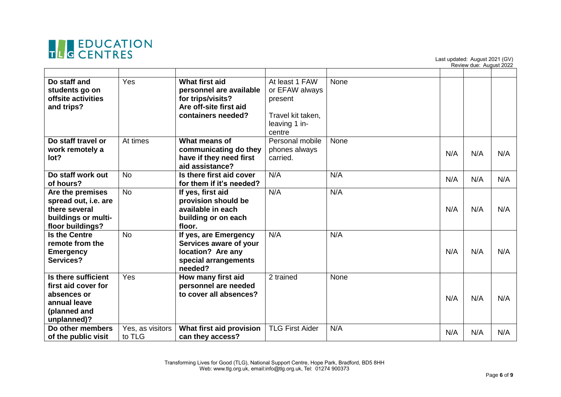

Last updated: August 2021 (GV) Review due: August 2022

| Do staff and<br>students go on<br>offsite activities<br>and trips?                                       | Yes                        | What first aid<br>personnel are available<br>for trips/visits?<br>Are off-site first aid<br>containers needed? | At least 1 FAW<br>or EFAW always<br>present<br>Travel kit taken,<br>leaving 1 in-<br>centre | None |     |     |     |
|----------------------------------------------------------------------------------------------------------|----------------------------|----------------------------------------------------------------------------------------------------------------|---------------------------------------------------------------------------------------------|------|-----|-----|-----|
| Do staff travel or<br>work remotely a<br>lot?                                                            | At times                   | What means of<br>communicating do they<br>have if they need first<br>aid assistance?                           | Personal mobile<br>phones always<br>carried.                                                | None | N/A | N/A | N/A |
| Do staff work out<br>of hours?                                                                           | <b>No</b>                  | Is there first aid cover<br>for them if it's needed?                                                           | N/A                                                                                         | N/A  | N/A | N/A | N/A |
| Are the premises<br>spread out, i.e. are<br>there several<br>buildings or multi-<br>floor buildings?     | <b>No</b>                  | If yes, first aid<br>provision should be<br>available in each<br>building or on each<br>floor.                 | N/A                                                                                         | N/A  | N/A | N/A | N/A |
| <b>Is the Centre</b><br>remote from the<br><b>Emergency</b><br>Services?                                 | <b>No</b>                  | If yes, are Emergency<br>Services aware of your<br>location? Are any<br>special arrangements<br>needed?        | N/A                                                                                         | N/A  | N/A | N/A | N/A |
| Is there sufficient<br>first aid cover for<br>absences or<br>annual leave<br>(planned and<br>unplanned)? | Yes                        | How many first aid<br>personnel are needed<br>to cover all absences?                                           | 2 trained                                                                                   | None | N/A | N/A | N/A |
| Do other members<br>of the public visit                                                                  | Yes, as visitors<br>to TLG | What first aid provision<br>can they access?                                                                   | <b>TLG First Aider</b>                                                                      | N/A  | N/A | N/A | N/A |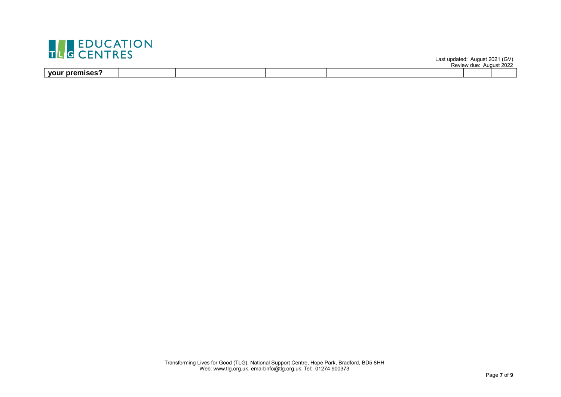

Last updated: August 2021 (GV)

|             |  |  | <b>POULOUT ALLOS</b><br><b>INGVIGW UUG.</b> | מממ<br>Augus<br>. ZUZZ |
|-------------|--|--|---------------------------------------------|------------------------|
| <u>your</u> |  |  |                                             |                        |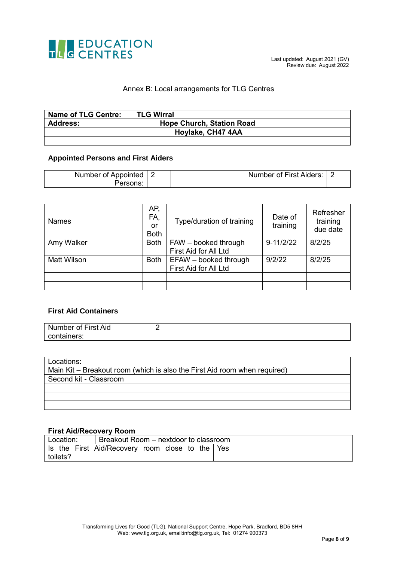

#### Annex B: Local arrangements for TLG Centres

| Name of TLG Centre: | <b>TLG Wirral</b>                |
|---------------------|----------------------------------|
| <b>Address:</b>     | <b>Hope Church, Station Road</b> |
|                     | Hoylake, CH47 4AA                |
|                     |                                  |

#### **Appointed Persons and First Aiders**

| Number of Appointed | Number of First Aiders: |  |
|---------------------|-------------------------|--|
| ersons:             |                         |  |

| <b>Names</b>       | AP.<br>FA,<br>or<br><b>Both</b> | Type/duration of training                      | Date of<br>training | Refresher<br>training<br>due date |
|--------------------|---------------------------------|------------------------------------------------|---------------------|-----------------------------------|
| Amy Walker         | <b>Both</b>                     | FAW - booked through<br>First Aid for All Ltd  | $9 - 11/2/22$       | 8/2/25                            |
| <b>Matt Wilson</b> | <b>Both</b>                     | EFAW - booked through<br>First Aid for All Ltd | 9/2/22              | 8/2/25                            |
|                    |                                 |                                                |                     |                                   |
|                    |                                 |                                                |                     |                                   |

#### **First Aid Containers**

| Number of First Aid |  |
|---------------------|--|
| containers:         |  |

| Locations:                                                                |
|---------------------------------------------------------------------------|
| Main Kit – Breakout room (which is also the First Aid room when required) |
| Second kit - Classroom                                                    |
|                                                                           |
|                                                                           |
|                                                                           |

#### **First Aid/Recovery Room**

|          | Location:   Breakout Room – nextdoor to classroom |  |
|----------|---------------------------------------------------|--|
|          | Is the First Aid/Recovery room close to the Yes   |  |
| toilets? |                                                   |  |